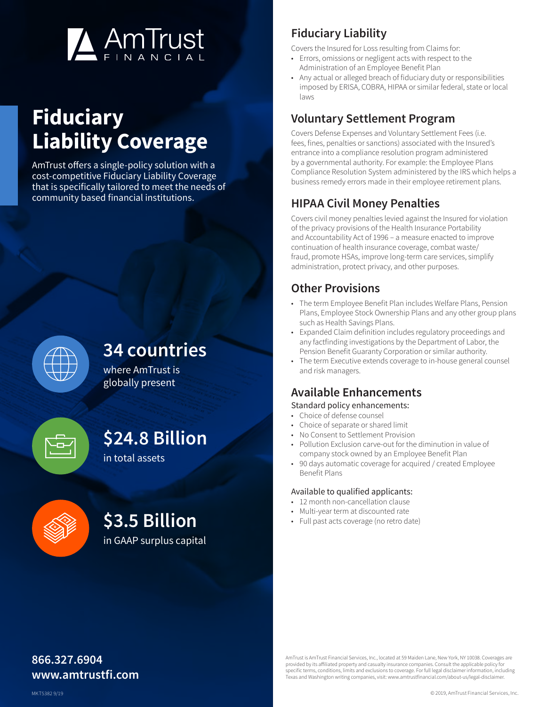

# **Fiduciary Liability Coverage**

AmTrust offers a single-policy solution with a cost-competitive Fiduciary Liability Coverage that is specifically tailored to meet the needs of community based financial institutions.



### **34 countries**

where AmTrust is globally present

## **\$24.8 Billion**

in total assets



## **\$3.5 Billion**

in GAAP surplus capital

### **Fiduciary Liability**

Covers the Insured for Loss resulting from Claims for:

- Errors, omissions or negligent acts with respect to the Administration of an Employee Benefit Plan
- Any actual or alleged breach of fiduciary duty or responsibilities imposed by ERISA, COBRA, HIPAA or similar federal, state or local laws

#### **Voluntary Settlement Program**

Covers Defense Expenses and Voluntary Settlement Fees (i.e. fees, fines, penalties or sanctions) associated with the Insured's entrance into a compliance resolution program administered by a governmental authority. For example: the Employee Plans Compliance Resolution System administered by the IRS which helps a business remedy errors made in their employee retirement plans.

### **HIPAA Civil Money Penalties**

Covers civil money penalties levied against the Insured for violation of the privacy provisions of the Health Insurance Portability and Accountability Act of 1996 – a measure enacted to improve continuation of health insurance coverage, combat waste/ fraud, promote HSAs, improve long-term care services, simplify administration, protect privacy, and other purposes.

#### **Other Provisions**

- The term Employee Benefit Plan includes Welfare Plans, Pension Plans, Employee Stock Ownership Plans and any other group plans such as Health Savings Plans.
- Expanded Claim definition includes regulatory proceedings and any factfinding investigations by the Department of Labor, the Pension Benefit Guaranty Corporation or similar authority.
- The term Executive extends coverage to in-house general counsel and risk managers.

#### **Available Enhancements**

#### Standard policy enhancements:

- Choice of defense counsel
- Choice of separate or shared limit
- No Consent to Settlement Provision
- Pollution Exclusion carve-out for the diminution in value of company stock owned by an Employee Benefit Plan
- 90 days automatic coverage for acquired / created Employee Benefit Plans

#### Available to qualified applicants:

- 12 month non-cancellation clause
- Multi-year term at discounted rate
- Full past acts coverage (no retro date)

#### **866.327.6904 www.amtrustfi.com**

AmTrust is AmTrust Financial Services, Inc., located at 59 Maiden Lane, New York, NY 10038. Coverages are provided by its affiliated property and casualty insurance companies. Consult the applicable policy specific terms, conditions, limits and exclusions to coverage. For full legal disclaimer information, including Texas and Washington writing companies, visit: www.amtrustfinancial.com/about-us/legal-disclaimer.